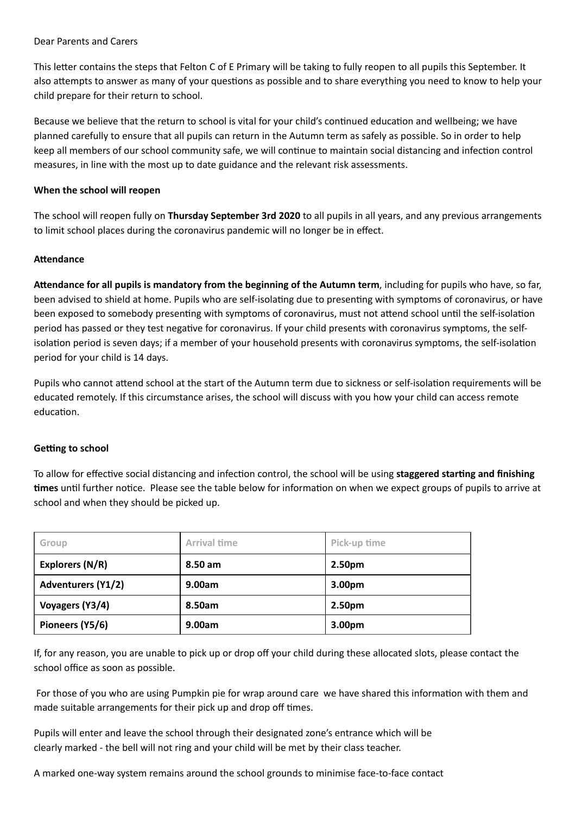#### Dear Parents and Carers

This letter contains the steps that Felton C of E Primary will be taking to fully reopen to all pupils this September. It also attempts to answer as many of your questions as possible and to share everything you need to know to help your child prepare for their return to school.

Because we believe that the return to school is vital for your child's continued education and wellbeing; we have planned carefully to ensure that all pupils can return in the Autumn term as safely as possible. So in order to help keep all members of our school community safe, we will continue to maintain social distancing and infection control measures, in line with the most up to date guidance and the relevant risk assessments.

## **When the school will reopen**

The school will reopen fully on **Thursday September 3rd 2020** to all pupils in all years, and any previous arrangements to limit school places during the coronavirus pandemic will no longer be in effect.

### **Attendance**

**Aendance for all pupils is mandatory from the beginning of the Autumn term**, including for pupils who have, so far, been advised to shield at home. Pupils who are self-isolating due to presenting with symptoms of coronavirus, or have been exposed to somebody presenting with symptoms of coronavirus, must not attend school until the self-isolation period has passed or they test negative for coronavirus. If your child presents with coronavirus symptoms, the selfisolation period is seven days; if a member of your household presents with coronavirus symptoms, the self-isolation period for your child is 14 days.

Pupils who cannot attend school at the start of the Autumn term due to sickness or self-isolation requirements will be educated remotely. If this circumstance arises, the school will discuss with you how your child can access remote education.

# **Getting** to school

To allow for effective social distancing and infection control, the school will be using **staggered starting and finishing** times until further notice. Please see the table below for information on when we expect groups of pupils to arrive at school and when they should be picked up.

| Group                     | <b>Arrival time</b> | Pick-up time       |
|---------------------------|---------------------|--------------------|
| Explorers (N/R)           | 8.50 am             | 2.50 <sub>pm</sub> |
| <b>Adventurers (Y1/2)</b> | 9.00am              | 3.00 <sub>pm</sub> |
| Voyagers (Y3/4)           | 8.50am              | 2.50 <sub>pm</sub> |
| Pioneers (Y5/6)           | 9.00am              | 3.00 <sub>pm</sub> |

If, for any reason, you are unable to pick up or drop off your child during these allocated slots, please contact the school office as soon as possible.

For those of you who are using Pumpkin pie for wrap around care we have shared this information with them and made suitable arrangements for their pick up and drop off times.

Pupils will enter and leave the school through their designated zone's entrance which will be clearly marked - the bell will not ring and your child will be met by their class teacher.

A marked one-way system remains around the school grounds to minimise face-to-face contact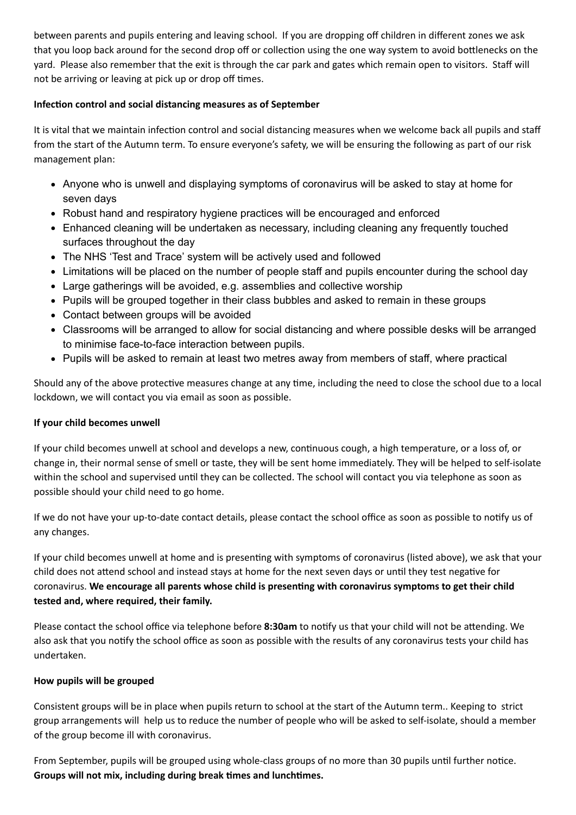between parents and pupils entering and leaving school. If you are dropping off children in different zones we ask that you loop back around for the second drop off or collection using the one way system to avoid bottlenecks on the yard. Please also remember that the exit is through the car park and gates which remain open to visitors. Staff will not be arriving or leaving at pick up or drop off times.

# **Infection control and social distancing measures as of September**

It is vital that we maintain infection control and social distancing measures when we welcome back all pupils and staff from the start of the Autumn term. To ensure everyone's safety, we will be ensuring the following as part of our risk management plan:

- Anyone who is unwell and displaying symptoms of coronavirus will be asked to stay at home for seven days
- Robust hand and respiratory hygiene practices will be encouraged and enforced
- Enhanced cleaning will be undertaken as necessary, including cleaning any frequently touched surfaces throughout the day
- The NHS 'Test and Trace' system will be actively used and followed
- Limitations will be placed on the number of people staff and pupils encounter during the school day
- Large gatherings will be avoided, e.g. assemblies and collective worship
- Pupils will be grouped together in their class bubbles and asked to remain in these groups
- Contact between groups will be avoided
- Classrooms will be arranged to allow for social distancing and where possible desks will be arranged to minimise face-to-face interaction between pupils.
- Pupils will be asked to remain at least two metres away from members of staff, where practical

Should any of the above protective measures change at any time, including the need to close the school due to a local lockdown, we will contact you via email as soon as possible.

# **If your child becomes unwell**

If your child becomes unwell at school and develops a new, continuous cough, a high temperature, or a loss of, or change in, their normal sense of smell or taste, they will be sent home immediately. They will be helped to self-isolate within the school and supervised until they can be collected. The school will contact you via telephone as soon as possible should your child need to go home.

If we do not have your up-to-date contact details, please contact the school office as soon as possible to notify us of any changes.

If your child becomes unwell at home and is presenting with symptoms of coronavirus (listed above), we ask that your child does not attend school and instead stays at home for the next seven days or until they test negative for coronavirus. **We encourage all parents whose child is presenng with coronavirus symptoms to get their child tested and, where required, their family.**

Please contact the school office via telephone before 8:30am to notify us that your child will not be attending. We also ask that you notify the school office as soon as possible with the results of any coronavirus tests your child has undertaken.

# **How pupils will be grouped**

Consistent groups will be in place when pupils return to school at the start of the Autumn term.. Keeping to strict group arrangements will help us to reduce the number of people who will be asked to self-isolate, should a member of the group become ill with coronavirus.

From September, pupils will be grouped using whole-class groups of no more than 30 pupils until further notice. **Groups will not mix, including during break mes and lunchmes.**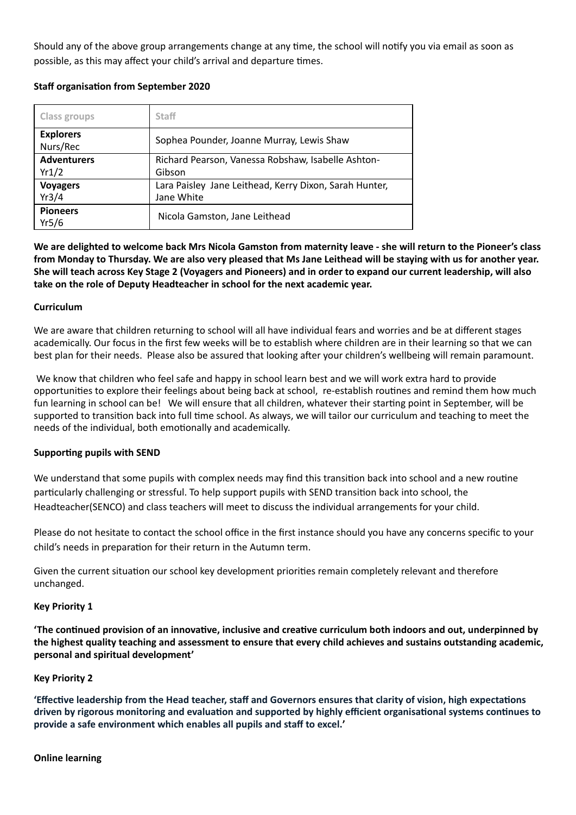Should any of the above group arrangements change at any time, the school will notify you via email as soon as possible, as this may affect your child's arrival and departure times.

### **Staff** organisation from September 2020

| Class groups                 | <b>Staff</b>                                                         |  |
|------------------------------|----------------------------------------------------------------------|--|
| <b>Explorers</b><br>Nurs/Rec | Sophea Pounder, Joanne Murray, Lewis Shaw                            |  |
| <b>Adventurers</b><br>Yr1/2  | Richard Pearson, Vanessa Robshaw, Isabelle Ashton-<br>Gibson         |  |
| <b>Voyagers</b><br>Yr3/4     | Lara Paisley Jane Leithead, Kerry Dixon, Sarah Hunter,<br>Jane White |  |
| <b>Pioneers</b><br>Yr5/6     | Nicola Gamston, Jane Leithead                                        |  |

We are delighted to welcome back Mrs Nicola Gamston from maternity leave - she will return to the Pioneer's class from Monday to Thursday. We are also very pleased that Ms Jane Leithead will be staying with us for another year. She will teach across Key Stage 2 (Voyagers and Pioneers) and in order to expand our current leadership, will also **take on the role of Deputy Headteacher in school for the next academic year.**

#### **Curriculum**

We are aware that children returning to school will all have individual fears and worries and be at different stages academically. Our focus in the first few weeks will be to establish where children are in their learning so that we can best plan for their needs. Please also be assured that looking after your children's wellbeing will remain paramount.

We know that children who feel safe and happy in school learn best and we will work extra hard to provide opportunities to explore their feelings about being back at school, re-establish routines and remind them how much fun learning in school can be! We will ensure that all children, whatever their starting point in September, will be supported to transition back into full time school. As always, we will tailor our curriculum and teaching to meet the needs of the individual, both emotionally and academically.

#### **Supporting pupils with SEND**

We understand that some pupils with complex needs may find this transition back into school and a new routine particularly challenging or stressful. To help support pupils with SEND transition back into school, the Headteacher(SENCO) and class teachers will meet to discuss the individual arrangements for your child.

Please do not hesitate to contact the school office in the first instance should you have any concerns specific to your child's needs in preparation for their return in the Autumn term.

Given the current situation our school key development priorities remain completely relevant and therefore unchanged.

#### **Key Priority 1**

**'The connued provision of an innovave, inclusive and creave curriculum both indoors and out, underpinned by** the highest quality teaching and assessment to ensure that every child achieves and sustains outstanding academic, **personal and spiritual development'**

#### **Key Priority 2**

**'Effective leadership from the Head teacher, staff and Governors ensures that clarity of vision, high expectations driven** by rigorous monitoring and evaluation and supported by highly efficient organisational systems continues to **provide a safe environment which enables all pupils and staff to excel.'**

#### **Online learning**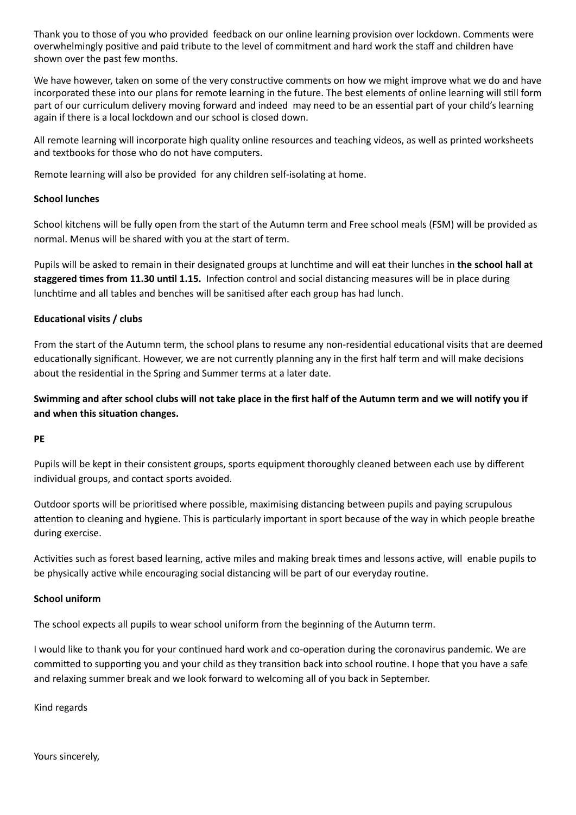Thank you to those of you who provided feedback on our online learning provision over lockdown. Comments were overwhelmingly positive and paid tribute to the level of commitment and hard work the staff and children have shown over the past few months.

We have however, taken on some of the very constructive comments on how we might improve what we do and have incorporated these into our plans for remote learning in the future. The best elements of online learning will still form part of our curriculum delivery moving forward and indeed may need to be an essential part of your child's learning again if there is a local lockdown and our school is closed down.

All remote learning will incorporate high quality online resources and teaching videos, as well as printed worksheets and textbooks for those who do not have computers.

Remote learning will also be provided for any children self-isolating at home.

## **School lunches**

School kitchens will be fully open from the start of the Autumn term and Free school meals (FSM) will be provided as normal. Menus will be shared with you at the start of term.

Pupils will be asked to remain in their designated groups at lunchme and will eat their lunches in **the school hall at staggered times from 11.30 until 1.15.** Infection control and social distancing measures will be in place during lunchtime and all tables and benches will be sanitised after each group has had lunch.

### **Educational visits / clubs**

From the start of the Autumn term, the school plans to resume any non-residential educational visits that are deemed educationally significant. However, we are not currently planning any in the first half term and will make decisions about the residential in the Spring and Summer terms at a later date.

Swimming and after school clubs will not take place in the first half of the Autumn term and we will notify you if **and** when this situation changes.

#### **PE**

Pupils will be kept in their consistent groups, sports equipment thoroughly cleaned between each use by different individual groups, and contact sports avoided.

Outdoor sports will be prioritised where possible, maximising distancing between pupils and paying scrupulous attention to cleaning and hygiene. This is particularly important in sport because of the way in which people breathe during exercise.

Activities such as forest based learning, active miles and making break times and lessons active, will enable pupils to be physically active while encouraging social distancing will be part of our everyday routine.

#### **School uniform**

The school expects all pupils to wear school uniform from the beginning of the Autumn term.

I would like to thank you for your continued hard work and co-operation during the coronavirus pandemic. We are committed to supporting you and your child as they transition back into school routine. I hope that you have a safe and relaxing summer break and we look forward to welcoming all of you back in September.

Kind regards